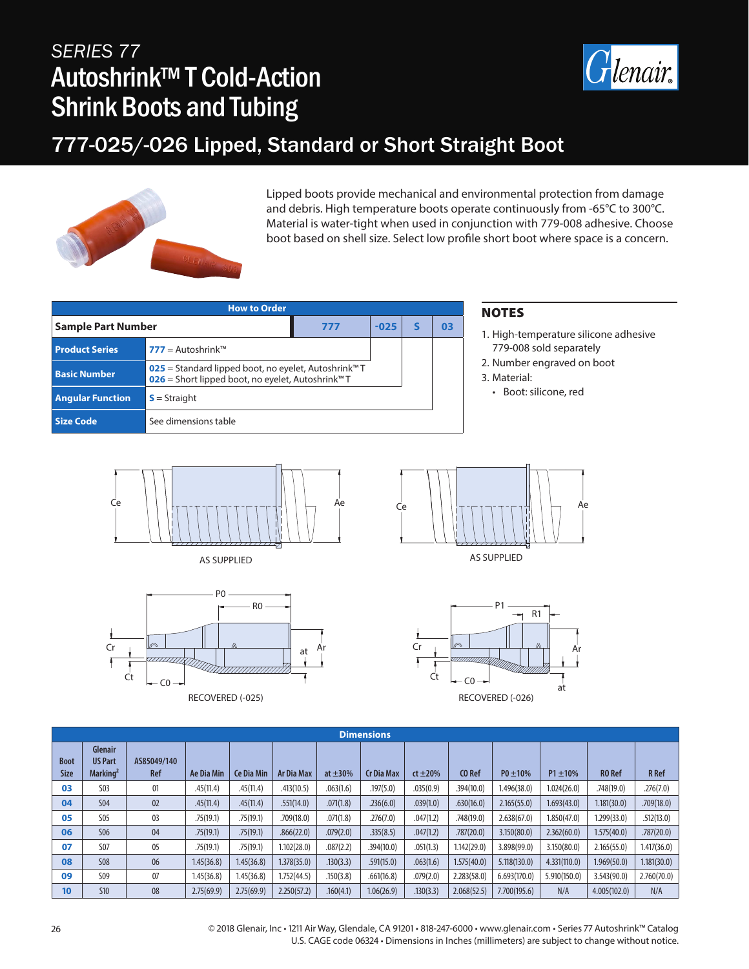# *SERIES 77* Autoshrink™ T Cold-Action Shrink Boots and Tubing



# 777-025/-026 Lipped, Standard or Short Straight Boot



Lipped boots provide mechanical and environmental protection from damage and debris. High temperature boots operate continuously from -65°C to 300°C. Material is water-tight when used in conjunction with 779-008 adhesive. Choose boot based on shell size. Select low profile short boot where space is a concern.

| <b>How to Order</b>       |                                                                                                                                   |  |    |  |  |  |  |  |  |  |
|---------------------------|-----------------------------------------------------------------------------------------------------------------------------------|--|----|--|--|--|--|--|--|--|
| <b>Sample Part Number</b> | $-025$                                                                                                                            |  | 03 |  |  |  |  |  |  |  |
| <b>Product Series</b>     | $777 =$ Autoshrink <sup>TM</sup>                                                                                                  |  |    |  |  |  |  |  |  |  |
| <b>Basic Number</b>       | 025 = Standard lipped boot, no eyelet, Autoshrink <sup>™</sup> T<br>026 = Short lipped boot, no eyelet, Autoshrink <sup>™</sup> T |  |    |  |  |  |  |  |  |  |
| <b>Angular Function</b>   | $S =$ Straight                                                                                                                    |  |    |  |  |  |  |  |  |  |
| Size Code                 | See dimensions table                                                                                                              |  |    |  |  |  |  |  |  |  |

### **NOTES**

- 1. High-temperature silicone adhesive 779-008 sold separately
- 2. Number engraved on boot
- 3. Material:

• Boot: silicone, red













|                            | <b>Dimensions</b>                                        |                           |            |            |                   |               |                   |               |             |               |               |               |              |
|----------------------------|----------------------------------------------------------|---------------------------|------------|------------|-------------------|---------------|-------------------|---------------|-------------|---------------|---------------|---------------|--------------|
| <b>Boot</b><br><b>Size</b> | <b>Glenair</b><br><b>US Part</b><br>Marking <sup>2</sup> | AS85049/140<br><b>Ref</b> | Ae Dia Min | Ce Dia Min | <b>Ar Dia Max</b> | at $\pm 30\%$ | <b>Cr Dia Max</b> | $ct \pm 20\%$ | CO Ref      | $P0 \pm 10\%$ | $P1 \pm 10\%$ | <b>RO</b> Ref | <b>R</b> Ref |
| 03                         | <b>S03</b>                                               | 01                        | .45(11.4)  | .45(11.4)  | .413(10.5)        | .063(1.6)     | .197(5.0)         | .035(0.9)     | .394(10.0)  | 1.496(38.0)   | 1.024(26.0)   | .748(19.0)    | .276(7.0)    |
| 04                         | <b>S04</b>                                               | 02                        | .45(11.4)  | .45(11.4)  | .551(14.0)        | .071(1.8)     | .236(6.0)         | .039(1.0)     | .630(16.0)  | 2.165(55.0)   | 1.693(43.0)   | 1.181(30.0)   | .709(18.0)   |
| 05                         | <b>S05</b>                                               | 03                        | .75(19.1)  | .75(19.1)  | .709(18.0)        | .071(1.8)     | .276(7.0)         | .047(1.2)     | .748(19.0)  | 2.638(67.0)   | 1.850(47.0)   | 1.299(33.0)   | .512(13.0)   |
| 06                         | <b>S06</b>                                               | 04                        | .75(19.1)  | .75(19.1)  | .866(22.0)        | .079(2.0)     | .335(8.5)         | .047(1.2)     | .787(20.0)  | 3.150(80.0)   | 2.362(60.0)   | 1.575(40.0)   | .787(20.0)   |
| 07                         | <b>S07</b>                                               | 05                        | .75(19.1)  | .75(19.1)  | 1.102(28.0)       | .087(2.2)     | .394(10.0)        | .051(1.3)     | 1.142(29.0) | 3.898(99.0)   | 3.150(80.0)   | 2.165(55.0)   | 1.417(36.0)  |
| 08                         | <b>S08</b>                                               | 06                        | 1.45(36.8) | 1.45(36.8) | 1.378(35.0)       | .130(3.3)     | .591(15.0)        | .063(1.6)     | 1.575(40.0) | 5.118(130.0)  | 4.331(110.0)  | 1.969(50.0)   | 1.181(30.0)  |
| 09                         | S <sub>09</sub>                                          | 07                        | 1.45(36.8) | 1.45(36.8) | 1.752(44.5)       | .150(3.8)     | .661(16.8)        | .079(2.0)     | 2.283(58.0) | 6.693(170.0)  | 5.910(150.0)  | 3.543(90.0)   | 2.760(70.0)  |
| 10                         | <b>S10</b>                                               | 08                        | 2.75(69.9) | 2.75(69.9) | 2.250(57.2)       | .160(4.1)     | 1.06(26.9)        | .130(3.3)     | 2.068(52.5) | 7.700(195.6)  | N/A           | 4.005(102.0)  | N/A          |

26 © 2018 Glenair, Inc • 1211 Air Way, Glendale, CA 91201 • 818-247-6000 • www.glenair.com • Series 77 Autoshrink™ Catalog U.S. CAGE code 06324 • Dimensions in Inches (millimeters) are subject to change without notice.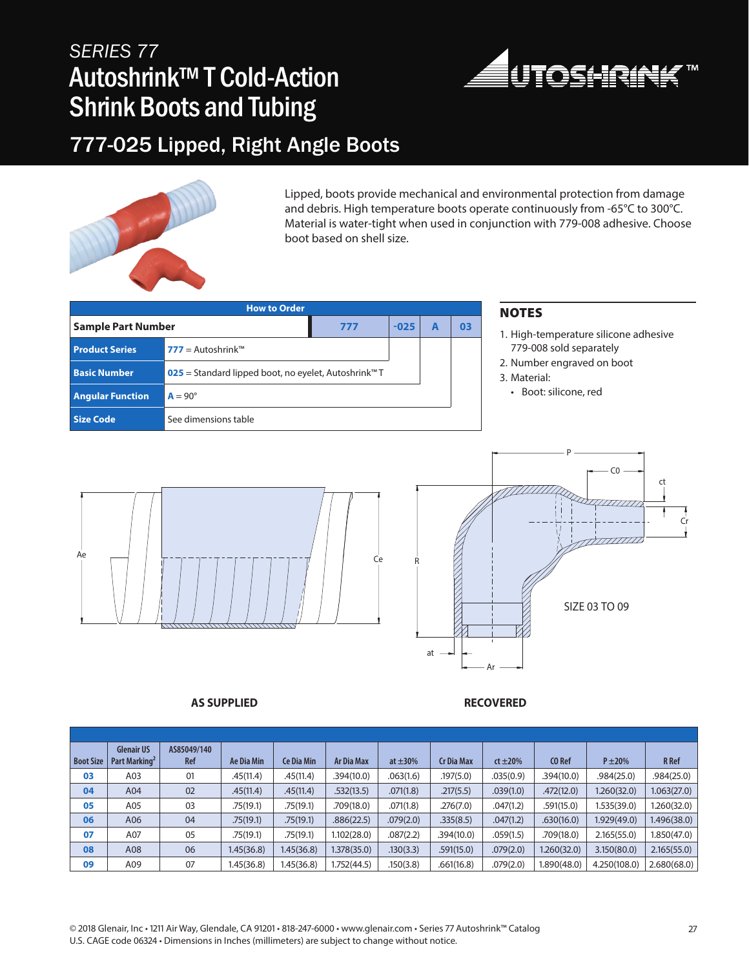# *SERIES 77* Autoshrink™ T Cold-Action Shrink Boots and Tubing



## 777-025 Lipped, Right Angle Boots



Lipped, boots provide mechanical and environmental protection from damage and debris. High temperature boots operate continuously from -65°C to 300°C. Material is water-tight when used in conjunction with 779-008 adhesive. Choose boot based on shell size.

|                           | <b>NOTES</b>                     |     |                       |                                            |    |                              |
|---------------------------|----------------------------------|-----|-----------------------|--------------------------------------------|----|------------------------------|
| <b>Sample Part Number</b> |                                  | 777 | $-025$                |                                            | 03 | 1. High-temperature silicone |
| <b>Product Series</b>     | $777 =$ Autoshrink <sup>TM</sup> |     |                       |                                            |    | 779-008 sold separately      |
| <b>Basic Number</b>       |                                  |     |                       | 2. Number engraved on boot<br>3. Material: |    |                              |
| <b>Angular Function</b>   | $A = 90^\circ$                   |     | • Boot: silicone, red |                                            |    |                              |
| <b>Size Code</b>          | See dimensions table             |     |                       |                                            |    |                              |

- e adhesive
- 





**AS SUPPLIED RECOVERED**

| <b>Boot Size</b> | <b>Glenair US</b><br>Part Marking <sup>2</sup> | AS85049/140<br><b>Ref</b> | Ae Dia Min | <b>Ce Dia Min</b> | Ar Dia Max  | at $\pm 30\%$ | <b>Cr Dia Max</b> | $ct \pm 20\%$ | CO Ref      | $P \pm 20\%$ | <b>R</b> Ref |
|------------------|------------------------------------------------|---------------------------|------------|-------------------|-------------|---------------|-------------------|---------------|-------------|--------------|--------------|
| 03               | A03                                            | 01                        | .45(11.4)  | .45(11.4)         | .394(10.0)  | .063(1.6)     | .197(5.0)         | .035(0.9)     | .394(10.0)  | .984(25.0)   | .984(25.0)   |
| 04               | A04                                            | 02                        | .45(11.4)  | .45(11.4)         | .532(13.5)  | .071(1.8)     | .217(5.5)         | .039(1.0)     | .472(12.0)  | 1.260(32.0)  | 1.063(27.0)  |
| 05               | A05                                            | 03                        | .75(19.1)  | .75(19.1)         | .709(18.0)  | .071(1.8)     | .276(7.0)         | .047(1.2)     | .591(15.0)  | 1.535(39.0)  | .260(32.0)   |
| 06               | A06                                            | 04                        | .75(19.1)  | .75(19.1)         | .886(22.5)  | .079(2.0)     | .335(8.5)         | .047(1.2)     | .630(16.0)  | 1.929(49.0)  | 1.496(38.0)  |
| 07               | A07                                            | 05                        | .75(19.1)  | .75(19.1)         | 1.102(28.0) | .087(2.2)     | .394(10.0)        | .059(1.5)     | .709(18.0)  | 2.165(55.0)  | 1.850(47.0)  |
| 08               | A08                                            | 06                        | 1.45(36.8) | 1.45(36.8)        | 1.378(35.0) | .130(3.3)     | .591(15.0)        | .079(2.0)     | 1.260(32.0) | 3.150(80.0)  | 2.165(55.0)  |
| 09               | A09                                            | 07                        | 1.45(36.8) | 1.45(36.8)        | 1.752(44.5) | .150(3.8)     | .661(16.8)        | .079(2.0)     | 1.890(48.0) | 4.250(108.0) | 2.680(68.0)  |

© 2018 Glenair, Inc • 1211 Air Way, Glendale, CA 91201 • 818-247-6000 • www.glenair.com • Series 77 Autoshrink™ Catalog 27 U.S. CAGE code 06324 • Dimensions in Inches (millimeters) are subject to change without notice.